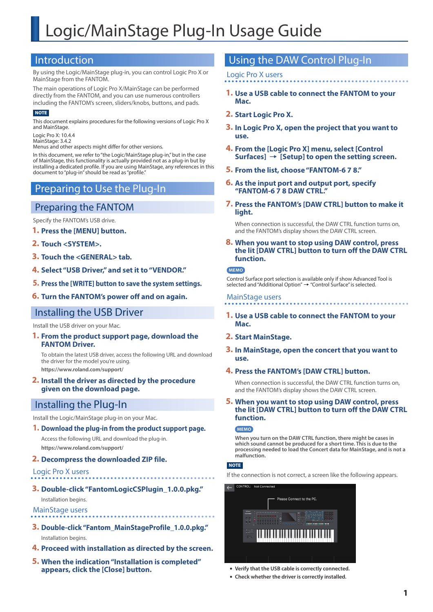### Introduction

By using the Logic/MainStage plug-in, you can control Logic Pro X or MainStage from the FANTOM.

The main operations of Logic Pro X/MainStage can be performed directly from the FANTOM, and you can use numerous controllers including the FANTOM's screen, sliders/knobs, buttons, and pads.

#### **NOTE**

This document explains procedures for the following versions of Logic Pro X and MainStage.

Logic Pro X: 10.4.4 MainStage: 3.4.2

Menus and other aspects might differ for other versions.

In this document, we refer to "the Logic/MainStage plug-in," but in the case of MainStage, this functionality is actually provided not as a plug-in but by installing a dedicated profile. If you are using MainStage, any references in this document to "plug-in" should be read as "profile."

### Preparing to Use the Plug-In

### Preparing the FANTOM

Specify the FANTOM's USB drive.

- **1. Press the [MENU] button.**
- **2. Touch <SYSTEM>.**
- **3. Touch the <GENERAL> tab.**
- **4. Select "USB Driver," and set it to "VENDOR."**
- **5. Press the [WRITE] button to save the system settings.**
- **6. Turn the FANTOM's power off and on again.**

### Installing the USB Driver

Install the USB driver on your Mac.

**1. From the product support page, download the FANTOM Driver.**

To obtain the latest USB driver, access the following URL and download the driver for the model you're using. **https://www.roland.com/support/**

**2. Install the driver as directed by the procedure given on the download page.**

# Installing the Plug-In

Install the Logic/MainStage plug-in on your Mac.

#### **1. Download the plug-in from the product support page.**

Access the following URL and download the plug-in. **https://www.roland.com/support/**

#### **2. Decompress the downloaded ZIP file.**

Logic Pro X users

### **3. Double-click "FantomLogicCSPlugin\_1.0.0.pkg."**

Installation begins.

### MainStage users

- **3. Double-click "Fantom\_MainStageProfile\_1.0.0.pkg."** Installation begins.
- **4. Proceed with installation as directed by the screen.**
- **5. When the indication "Installation is completed" appears, click the [Close] button.**

### Using the DAW Control Plug-In

#### Logic Pro X users

- **1. Use a USB cable to connect the FANTOM to your Mac.**
- **2. Start Logic Pro X.**
- **3. In Logic Pro X, open the project that you want to use.**
- **4. From the [Logic Pro X] menu, select [Control**   $Surfaces] \rightarrow [Setup]$  to open the setting screen.
- **5. From the list, choose "FANTOM-6 7 8."**
- **6. As the input port and output port, specify "FANTOM-6 7 8 DAW CTRL."**
- **7. Press the FANTOM's [DAW CTRL] button to make it light.**

When connection is successful, the DAW CTRL function turns on, and the FANTOM's display shows the DAW CTRL screen.

**8. When you want to stop using DAW control, press the lit [DAW CTRL] button to turn off the DAW CTRL function.**

#### **MEMO**

Control Surface port selection is available only if show Advanced Tool is selected and "Additional Option"  $\rightarrow$  "Control Surface" is selected.

#### MainStage users

**1. Use a USB cable to connect the FANTOM to your Mac.**

#### **2. Start MainStage.**

**3. In MainStage, open the concert that you want to use.**

#### **4. Press the FANTOM's [DAW CTRL] button.**

When connection is successful, the DAW CTRL function turns on, and the FANTOM's display shows the DAW CTRL screen.

#### **5. When you want to stop using DAW control, press the lit [DAW CTRL] button to turn off the DAW CTRL function.**

#### **MEMO**

**When you turn on the DAW CTRL function, there might be cases in which sound cannot be produced for a short time. This is due to the processing needed to load the Concert data for MainStage, and is not a malfunction.**

### **NOTE**

If the connection is not correct, a screen like the following appears.



- 5 **Verify that the USB cable is correctly connected.**
- 5 **Check whether the driver is correctly installed.**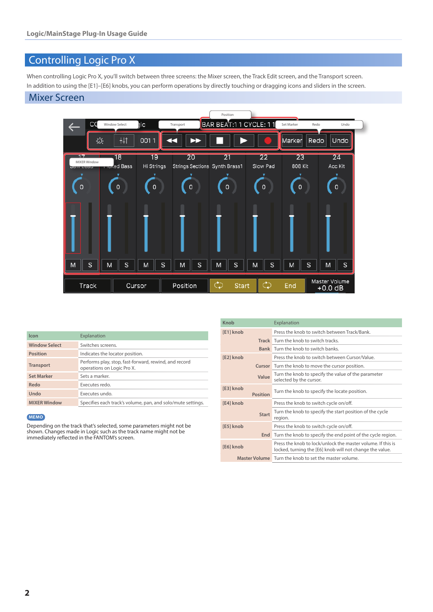# Controlling Logic Pro X

When controlling Logic Pro X, you'll switch between three screens: the Mixer screen, the Track Edit screen, and the Transport screen. In addition to using the [E1]–[E6] knobs, you can perform operations by directly touching or dragging icons and sliders in the screen.

### Mixer Screen



| Icon                 | Explanation                                                                         |
|----------------------|-------------------------------------------------------------------------------------|
| <b>Window Select</b> | Switches screens.                                                                   |
| <b>Position</b>      | Indicates the locator position.                                                     |
| <b>Transport</b>     | Performs play, stop, fast-forward, rewind, and record<br>operations on Logic Pro X. |
| <b>Set Marker</b>    | Sets a marker.                                                                      |
| Redo                 | Executes redo.                                                                      |
| Undo                 | Executes undo.                                                                      |
| <b>MIXER Window</b>  | Specifies each track's volume, pan, and solo/mute settings.                         |

#### **MEMO**

Depending on the track that's selected, some parameters might not be shown. Changes made in Logic such as the track name might not be immediately reflected in the FANTOM's screen.

| Knob      |                 | Explanation                                                                                                             |
|-----------|-----------------|-------------------------------------------------------------------------------------------------------------------------|
| [E1] knob |                 | Press the knob to switch between Track/Bank.                                                                            |
|           |                 | <b>Track</b> Turn the knob to switch tracks.                                                                            |
|           |                 | <b>Bank</b> Turn the knob to switch banks                                                                               |
| [E2] knob |                 | Press the knob to switch between Cursor/Value.                                                                          |
|           |                 | <b>Cursor</b> Turn the knob to move the cursor position.                                                                |
|           | Value           | Turn the knob to specify the value of the parameter<br>selected by the cursor.                                          |
| [E3] knob | <b>Position</b> | Turn the knob to specify the locate position.                                                                           |
| [E4] knob |                 | Press the knob to switch cycle on/off.                                                                                  |
|           | <b>Start</b>    | Turn the knob to specify the start position of the cycle<br>region.                                                     |
| [E5] knob |                 | Press the knob to switch cycle on/off.                                                                                  |
|           | End             | Turn the knob to specify the end point of the cycle region.                                                             |
| [E6] knob |                 | Press the knob to lock/unlock the master volume. If this is<br>locked, turning the [E6] knob will not change the value. |
|           |                 | Master Volume Turn the knob to set the master volume.                                                                   |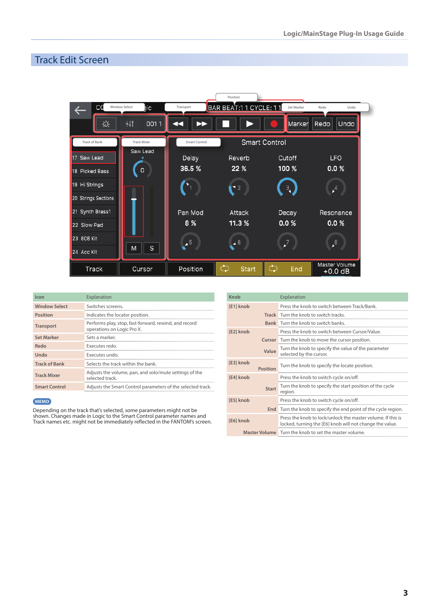# Track Edit Screen

|                     |                             |                          | Position                |                      |                            |
|---------------------|-----------------------------|--------------------------|-------------------------|----------------------|----------------------------|
| CC                  | <b>Window Select</b><br>ıіс | Transport                | BAR BEAT:1 1 CYCLE: 1 1 | Set Marker           | Redo<br>Undo               |
| Ö.                  | +tt<br>0011                 |                          |                         | Marker               | Redo<br>Undo               |
| Track of Bank       | <b>Track Mixer</b>          | Smart Control            |                         | <b>Smart Control</b> |                            |
| 17 Saw Lead         | Saw Lead                    | Delay                    | Reverb                  | Cutoff               | <b>LFO</b>                 |
| 18 Picked Bass      | 0                           | 36.5 %                   | 22 %                    | 100 %                | 0.0 %                      |
| 19 Hi Strings       |                             |                          | $\blacksquare$          | $\frac{3}{4}$        | $\bigoplus$                |
| 20 Strings Sections |                             |                          |                         |                      |                            |
| 21 Synth Brass1     |                             | Pan Mod                  | Attack                  | Decay                | Resonance                  |
| 22 Slow Pad         |                             | 8%                       | 11.3%                   | 0.0 %                | 0.0 %                      |
| 23 808 Kit          |                             | $\overline{\phantom{0}}$ | $\overline{6}$          |                      | $\cdot^8$                  |
| 24 Acc Kit          | S<br>M                      |                          |                         |                      |                            |
| Track               | Cursor                      | Position                 | جم<br><b>Start</b>      | جم<br>End            | Master Volume<br>$+0.0$ dB |

| Icon                 | Explanation                                                                         |
|----------------------|-------------------------------------------------------------------------------------|
| <b>Window Select</b> | Switches screens.                                                                   |
| <b>Position</b>      | Indicates the locator position.                                                     |
| <b>Transport</b>     | Performs play, stop, fast-forward, rewind, and record<br>operations on Logic Pro X. |
| <b>Set Marker</b>    | Sets a marker.                                                                      |
| Redo                 | Executes redo.                                                                      |
| Undo                 | Executes undo.                                                                      |
| <b>Track of Bank</b> | Selects the track within the bank                                                   |
| <b>Track Mixer</b>   | Adjusts the volume, pan, and solo/mute settings of the<br>selected track.           |
| <b>Smart Control</b> | Adjusts the Smart Control parameters of the selected track.                         |

#### **MEMO**

Depending on the track that's selected, some parameters might not be shown. Changes made in Logic to the Smart Control parameter names and Track names etc. might not be immediately reflected in the FANTOM's screen.

| Knob                         | Explanation                                                                                                             |
|------------------------------|-------------------------------------------------------------------------------------------------------------------------|
| [E1] knob                    | Press the knob to switch between Track/Bank.                                                                            |
|                              | <b>Track</b> Turn the knob to switch tracks.                                                                            |
|                              | <b>Bank</b> Turn the knob to switch banks.                                                                              |
| [E2] knob                    | Press the knob to switch between Cursor/Value                                                                           |
| Cursor                       | Turn the knob to move the cursor position.                                                                              |
| Value                        | Turn the knob to specify the value of the parameter<br>selected by the cursor.                                          |
| [E3] knob<br><b>Position</b> | Turn the knob to specify the locate position.                                                                           |
| [E4] knob                    | Press the knob to switch cycle on/off.                                                                                  |
| <b>Start</b>                 | Turn the knob to specify the start position of the cycle<br>region.                                                     |
| [E5] knob                    | Press the knob to switch cycle on/off.                                                                                  |
| End                          | Turn the knob to specify the end point of the cycle region.                                                             |
| [E6] knob                    | Press the knob to lock/unlock the master volume. If this is<br>locked, turning the [E6] knob will not change the value. |
| <b>Master Volume</b>         | Turn the knob to set the master volume.                                                                                 |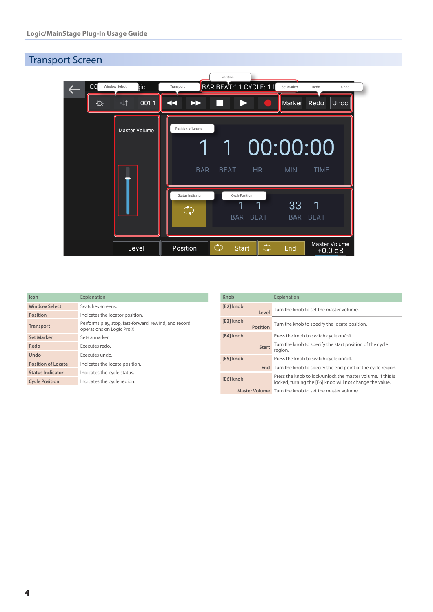# Transport Screen



| Icon                      | Explanation                                                                         |
|---------------------------|-------------------------------------------------------------------------------------|
| <b>Window Select</b>      | Switches screens.                                                                   |
| <b>Position</b>           | Indicates the locator position.                                                     |
| <b>Transport</b>          | Performs play, stop, fast-forward, rewind, and record<br>operations on Logic Pro X. |
| <b>Set Marker</b>         | Sets a marker.                                                                      |
| Redo                      | Executes redo.                                                                      |
| Undo                      | Executes undo.                                                                      |
| <b>Position of Locate</b> | Indicates the locate position.                                                      |
| <b>Status Indicator</b>   | Indicates the cycle status.                                                         |
| <b>Cycle Position</b>     | Indicates the cycle region.                                                         |

| Knob      |                 | Explanation                                                                                                             |
|-----------|-----------------|-------------------------------------------------------------------------------------------------------------------------|
| [E2] knob | Level           | Turn the knob to set the master volume.                                                                                 |
| [E3] knob | <b>Position</b> | Turn the knob to specify the locate position.                                                                           |
| [E4] knob |                 | Press the knob to switch cycle on/off.                                                                                  |
|           | <b>Start</b>    | Turn the knob to specify the start position of the cycle<br>region.                                                     |
| [E5] knob |                 | Press the knob to switch cycle on/off.                                                                                  |
|           |                 | <b>End</b> Turn the knob to specify the end point of the cycle region.                                                  |
| [E6] knob |                 | Press the knob to lock/unlock the master volume. If this is<br>locked, turning the [E6] knob will not change the value. |
|           |                 | Master Volume Turn the knob to set the master volume.                                                                   |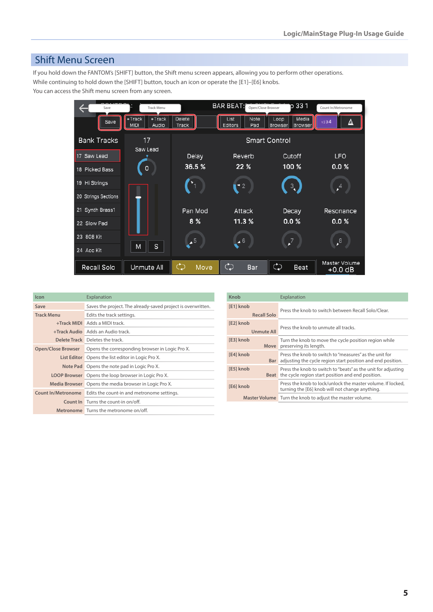### Shift Menu Screen

If you hold down the FANTOM's [SHIFT] button, the Shift menu screen appears, allowing you to perform other operations. While continuing to hold down the [SHIFT] button, touch an icon or operate the [E1]–[E6] knobs. You can access the Shift menu screen from any screen.

> Track Menu **Count In Track Menu Count In Track Menu** Open/Close Browser Count 10 33 1  $\leftarrow$  $Trac{k}{M|D|}$  $\frac{1}{\sqrt{\frac{1}{1 + \text{Track}}}}$ Delete<br>Track Note<br>Pad Loop<br>Browser  $List$  $M$ edia Save Media<br>Browser  $\Delta$ Editors **Bank Tracks**  $17$ **Smart Control** Saw Lead 17 Saw Lead Delay **LFO** Reverb Cutoff 36.5% 22 % 100 %  $0.0 %$ 18 Picked Bass  $\circ$ 19 Hi Strings  $\mathbf{r}^4$  $\mathbf{C}^2$  $\frac{3}{4}$ 20 Strings Sections 21 Synth Brass1 Pan Mod Attack Decay Resonance 8 %  $0.0 %$  $0.0 %$ 11.3 % 22 Slow Pad 23 808 Kit  $\bullet$  $\overline{2}$  $\cdot^8$  $\mathsf{s}$ M 24 Acc Kit Master Volume<br>+0.0 dB  $\mathcal{L}$  $\mathcal{L}$ Recall Solo Unmute All  $\mathcal{L}$ Beat Move Bar

| Icon                      | Explanation                                                  | Knob      |                      | Explanation                                                                                                                      |
|---------------------------|--------------------------------------------------------------|-----------|----------------------|----------------------------------------------------------------------------------------------------------------------------------|
| Save                      | Saves the project. The already-saved project is overwritten. | [E1] knob |                      | Press the knob to switch between Recall Solo/Clear.                                                                              |
| <b>Track Menu</b>         | Edits the track settings.                                    |           | <b>Recall Solo</b>   |                                                                                                                                  |
|                           | +Track MIDI Adds a MIDI track.                               | [E2] knob |                      | Press the knob to unmute all tracks.                                                                                             |
|                           | <b>+Track Audio</b> Adds an Audio track.                     |           | <b>Unmute All</b>    |                                                                                                                                  |
|                           | Delete Track Deletes the track.                              | [E3] knob |                      | Turn the knob to move the cycle position region while                                                                            |
| <b>Open/Close Browser</b> | Opens the corresponding browser in Logic Pro X.              |           |                      | Move preserving its length.                                                                                                      |
|                           | List Editor Opens the list editor in Logic Pro X.            | [E4] knob |                      | Press the knob to switch to "measures" as the unit for<br><b>Bar</b> adjusting the cycle region start position and end position. |
|                           | Note Pad Opens the note pad in Logic Pro X.                  | [E5] knob |                      | Press the knob to switch to "beats" as the unit for adjusting                                                                    |
|                           | <b>LOOP Browser</b> Opens the loop browser in Logic Pro X.   |           |                      | <b>Beat</b> the cycle region start position and end position.                                                                    |
| Media Browser             | Opens the media browser in Logic Pro X.                      | [E6] knob |                      | Press the knob to lock/unlock the master volume. If locked,                                                                      |
| <b>Count In/Metronome</b> | Edits the count-in and metronome settings.                   |           |                      | turning the [E6] knob will not change anything.                                                                                  |
|                           | <b>Count In</b> Turns the count-in on/off.                   |           | <b>Master Volume</b> | Turn the knob to adjust the master volume.                                                                                       |
|                           | Metronome Turns the metronome on/off.                        |           |                      |                                                                                                                                  |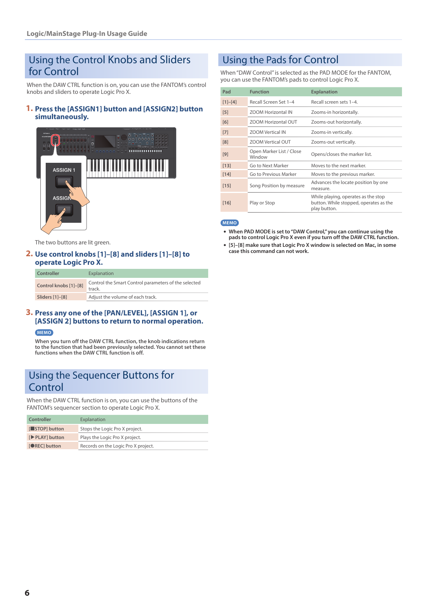### Using the Control Knobs and Sliders for Control

When the DAW CTRL function is on, you can use the FANTOM's control knobs and sliders to operate Logic Pro X.

### **1. Press the [ASSIGN1] button and [ASSIGN2] button simultaneously.**



The two buttons are lit green.

#### **2. Use control knobs [1]–[8] and sliders [1]–[8] to operate Logic Pro X.**

| Controller            | Explanation                                                    |
|-----------------------|----------------------------------------------------------------|
| Control knobs [1]-[8] | Control the Smart Control parameters of the selected<br>track. |
| Sliders [1]-[8]       | Adjust the volume of each track.                               |

#### **3. Press any one of the [PAN/LEVEL], [ASSIGN 1], or [ASSIGN 2] buttons to return to normal operation. MEMO**

**When you turn off the DAW CTRL function, the knob indications return to the function that had been previously selected. You cannot set these functions when the DAW CTRL function is off.**

# Using the Sequencer Buttons for Control

When the DAW CTRL function is on, you can use the buttons of the FANTOM's sequencer section to operate Logic Pro X.

| <b>Controller</b>    | Explanation                         |
|----------------------|-------------------------------------|
| [STOP] button        | Stops the Logic Pro X project.      |
| [PLAY] button        | Plays the Logic Pro X project.      |
| <b>IORECI</b> button | Records on the Logic Pro X project. |

# Using the Pads for Control

When "DAW Control" is selected as the PAD MODE for the FANTOM, you can use the FANTOM's pads to control Logic Pro X.

| Pad       | <b>Function</b>                    | <b>Explanation</b>                                                                            |
|-----------|------------------------------------|-----------------------------------------------------------------------------------------------|
| $[1]-[4]$ | Recall Screen Set 1-4              | Recall screen sets 1-4                                                                        |
| $[5]$     | <b>ZOOM Horizontal IN</b>          | Zooms-in horizontally.                                                                        |
| [6]       | <b>ZOOM Horizontal OUT</b>         | Zooms-out horizontally.                                                                       |
| $[7]$     | <b>ZOOM Vertical IN</b>            | Zooms-in vertically.                                                                          |
| [8]       | <b>ZOOM Vertical OUT</b>           | Zooms-out vertically.                                                                         |
| $[9]$     | Open Marker List / Close<br>Window | Opens/closes the marker list.                                                                 |
| $[13]$    | Go to Next Marker                  | Moves to the next marker.                                                                     |
| $[14]$    | Go to Previous Marker              | Moves to the previous marker.                                                                 |
| $[15]$    | Song Position by measure           | Advances the locate position by one<br>measure.                                               |
| $[16]$    | Play or Stop                       | While playing, operates as the stop<br>button. While stopped, operates as the<br>play button. |

#### **MEMO**

- 5 **When PAD MODE is set to "DAW Control," you can continue using the pads to control Logic Pro X even if you turn off the DAW CTRL function.**
- 5 **[5]–[8] make sure that Logic Pro X window is selected on Mac, in some case this command can not work.**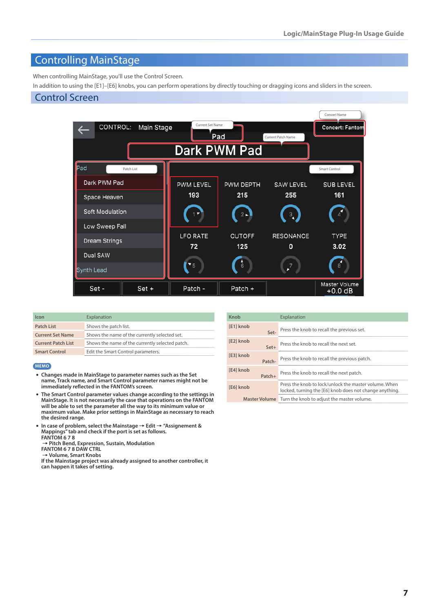# Controlling MainStage

When controlling MainStage, you'll use the Control Screen.

In addition to using the [E1]–[E6] knobs, you can perform operations by directly touching or dragging icons and sliders in the screen.

### Control Screen



| Icon                      | Explanation                                     |
|---------------------------|-------------------------------------------------|
| <b>Patch List</b>         | Shows the patch list.                           |
| <b>Current Set Name</b>   | Shows the name of the currently selected set.   |
| <b>Current Patch List</b> | Shows the name of the currently selected patch. |
| <b>Smart Control</b>      | Edit the Smart Control parameters.              |
|                           |                                                 |

#### **MEMO**

- 5 **Changes made in MainStage to parameter names such as the Set name, Track name, and Smart Control parameter names might not be immediately reflected in the FANTOM's screen.**
- 5 **The Smart Control parameter values change according to the settings in MainStage. It is not necessarily the case that operations on the FANTOM will be able to set the parameter all the way to its minimum value or maximum value. Make prior settings in MainStage as necessary to reach the desired range.**
- **In case of problem, select the Mainstage → Edit → "Assignement & Mappings" tab and check if the port is set as follows. FANTOM 6 7 8**

0**Pitch Bend, Expression, Sustain, Modulation**

**FANTOM 6 7 8 DAW CTRL**

0**Volume, Smart Knobs If the Mainstage project was already assigned to another controller, it can happen it takes of setting.**

| Knob                 | Explanation                                                                                                      |  |
|----------------------|------------------------------------------------------------------------------------------------------------------|--|
| [E1] knob<br>Set-    | Press the knob to recall the previous set.                                                                       |  |
| [E2] knob<br>Set+    | Press the knob to recall the next set.                                                                           |  |
| [E3] knob<br>Patch-  | Press the knob to recall the previous patch.                                                                     |  |
| [E4] knob<br>Patch+  | Press the knob to recall the next patch.                                                                         |  |
| [E6] knob            | Press the knob to lock/unlock the master volume. When<br>locked, turning the [E6] knob does not change anything. |  |
| <b>Master Volume</b> | Turn the knob to adjust the master volume.                                                                       |  |